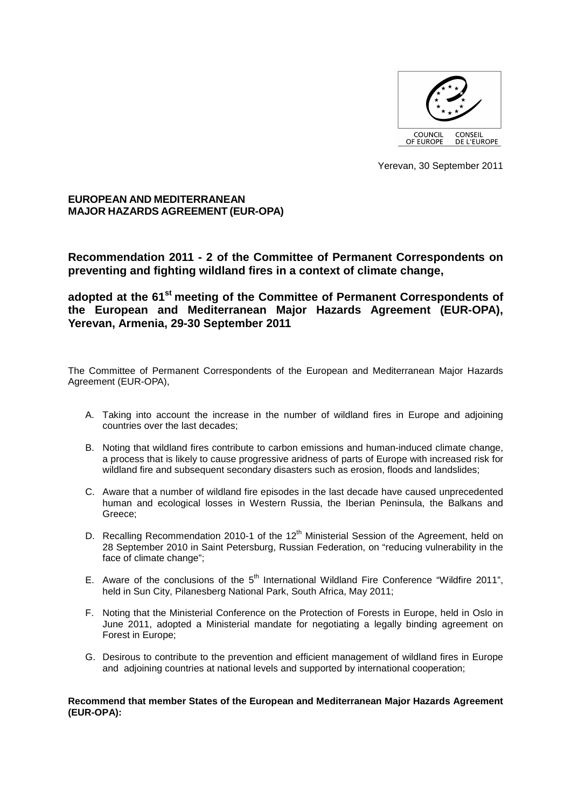

Yerevan, 30 September 2011

**EUROPEAN AND MEDITERRANEAN MAJOR HAZARDS AGREEMENT (EUR-OPA)** 

**Recommendation 2011 - 2 of the Committee of Permanent Correspondents on preventing and fighting wildland fires in a context of climate change,** 

**adopted at the 61st meeting of the Committee of Permanent Correspondents of the European and Mediterranean Major Hazards Agreement (EUR-OPA), Yerevan, Armenia, 29-30 September 2011** 

The Committee of Permanent Correspondents of the European and Mediterranean Major Hazards Agreement (EUR-OPA),

- A. Taking into account the increase in the number of wildland fires in Europe and adjoining countries over the last decades;
- B. Noting that wildland fires contribute to carbon emissions and human-induced climate change, a process that is likely to cause progressive aridness of parts of Europe with increased risk for wildland fire and subsequent secondary disasters such as erosion, floods and landslides;
- C. Aware that a number of wildland fire episodes in the last decade have caused unprecedented human and ecological losses in Western Russia, the Iberian Peninsula, the Balkans and Greece;
- D. Recalling Recommendation 2010-1 of the 12<sup>th</sup> Ministerial Session of the Agreement, held on 28 September 2010 in Saint Petersburg, Russian Federation, on "reducing vulnerability in the face of climate change";
- E. Aware of the conclusions of the  $5<sup>th</sup>$  International Wildland Fire Conference "Wildfire 2011", held in Sun City, Pilanesberg National Park, South Africa, May 2011;
- F. Noting that the Ministerial Conference on the Protection of Forests in Europe, held in Oslo in June 2011, adopted a Ministerial mandate for negotiating a legally binding agreement on Forest in Europe;
- G. Desirous to contribute to the prevention and efficient management of wildland fires in Europe and adjoining countries at national levels and supported by international cooperation;

**Recommend that member States of the European and Mediterranean Major Hazards Agreement (EUR-OPA):**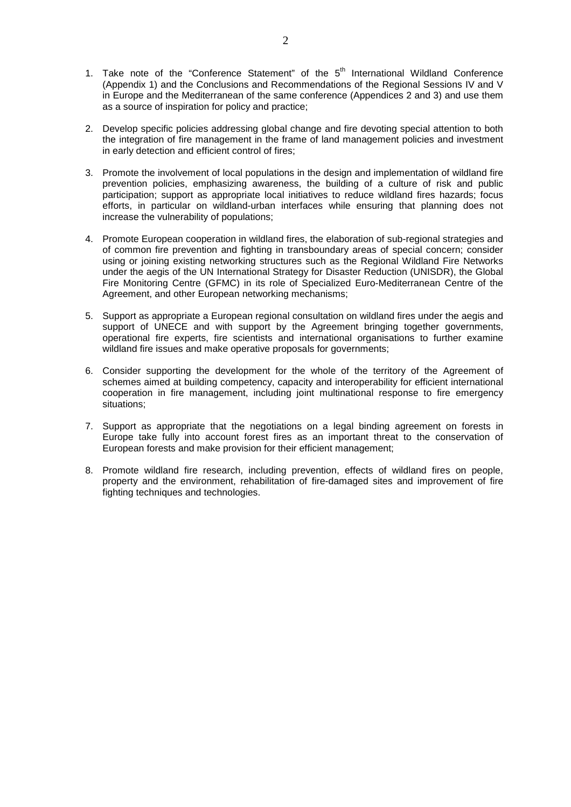- 1. Take note of the "Conference Statement" of the  $5<sup>th</sup>$  International Wildland Conference (Appendix 1) and the Conclusions and Recommendations of the Regional Sessions IV and V in Europe and the Mediterranean of the same conference (Appendices 2 and 3) and use them as a source of inspiration for policy and practice;
- 2. Develop specific policies addressing global change and fire devoting special attention to both the integration of fire management in the frame of land management policies and investment in early detection and efficient control of fires;
- 3. Promote the involvement of local populations in the design and implementation of wildland fire prevention policies, emphasizing awareness, the building of a culture of risk and public participation; support as appropriate local initiatives to reduce wildland fires hazards; focus efforts, in particular on wildland-urban interfaces while ensuring that planning does not increase the vulnerability of populations;
- 4. Promote European cooperation in wildland fires, the elaboration of sub-regional strategies and of common fire prevention and fighting in transboundary areas of special concern; consider using or joining existing networking structures such as the Regional Wildland Fire Networks under the aegis of the UN International Strategy for Disaster Reduction (UNISDR), the Global Fire Monitoring Centre (GFMC) in its role of Specialized Euro-Mediterranean Centre of the Agreement, and other European networking mechanisms;
- 5. Support as appropriate a European regional consultation on wildland fires under the aegis and support of UNECE and with support by the Agreement bringing together governments, operational fire experts, fire scientists and international organisations to further examine wildland fire issues and make operative proposals for governments;
- 6. Consider supporting the development for the whole of the territory of the Agreement of schemes aimed at building competency, capacity and interoperability for efficient international cooperation in fire management, including joint multinational response to fire emergency situations;
- 7. Support as appropriate that the negotiations on a legal binding agreement on forests in Europe take fully into account forest fires as an important threat to the conservation of European forests and make provision for their efficient management;
- 8. Promote wildland fire research, including prevention, effects of wildland fires on people, property and the environment, rehabilitation of fire-damaged sites and improvement of fire fighting techniques and technologies.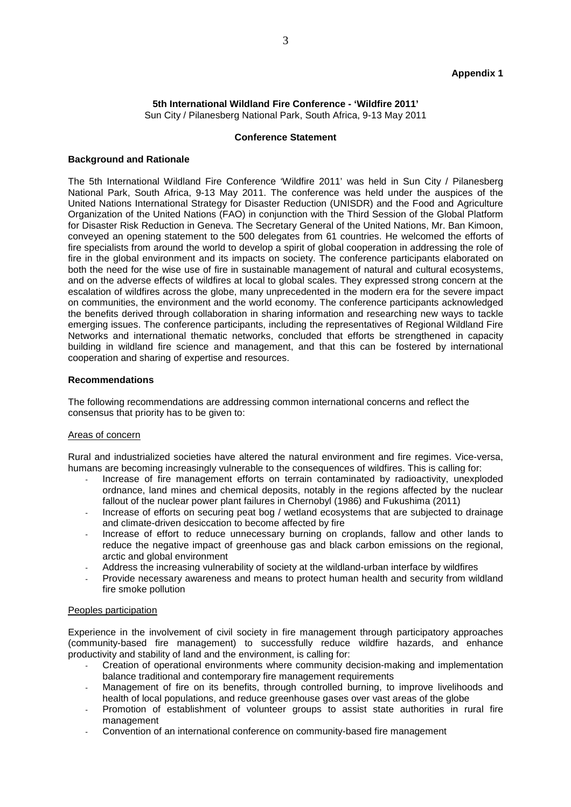## **5th International Wildland Fire Conference - 'Wildfire 2011'**  Sun City / Pilanesberg National Park, South Africa, 9-13 May 2011

#### **Conference Statement**

#### **Background and Rationale**

The 5th International Wildland Fire Conference 'Wildfire 2011' was held in Sun City / Pilanesberg National Park, South Africa, 9-13 May 2011. The conference was held under the auspices of the United Nations International Strategy for Disaster Reduction (UNISDR) and the Food and Agriculture Organization of the United Nations (FAO) in conjunction with the Third Session of the Global Platform for Disaster Risk Reduction in Geneva. The Secretary General of the United Nations, Mr. Ban Kimoon, conveyed an opening statement to the 500 delegates from 61 countries. He welcomed the efforts of fire specialists from around the world to develop a spirit of global cooperation in addressing the role of fire in the global environment and its impacts on society. The conference participants elaborated on both the need for the wise use of fire in sustainable management of natural and cultural ecosystems, and on the adverse effects of wildfires at local to global scales. They expressed strong concern at the escalation of wildfires across the globe, many unprecedented in the modern era for the severe impact on communities, the environment and the world economy. The conference participants acknowledged the benefits derived through collaboration in sharing information and researching new ways to tackle emerging issues. The conference participants, including the representatives of Regional Wildland Fire Networks and international thematic networks, concluded that efforts be strengthened in capacity building in wildland fire science and management, and that this can be fostered by international cooperation and sharing of expertise and resources.

#### **Recommendations**

The following recommendations are addressing common international concerns and reflect the consensus that priority has to be given to:

### Areas of concern

Rural and industrialized societies have altered the natural environment and fire regimes. Vice-versa, humans are becoming increasingly vulnerable to the consequences of wildfires. This is calling for:

- Increase of fire management efforts on terrain contaminated by radioactivity, unexploded ordnance, land mines and chemical deposits, notably in the regions affected by the nuclear fallout of the nuclear power plant failures in Chernobyl (1986) and Fukushima (2011)
- Increase of efforts on securing peat bog / wetland ecosystems that are subjected to drainage and climate-driven desiccation to become affected by fire
- Increase of effort to reduce unnecessary burning on croplands, fallow and other lands to reduce the negative impact of greenhouse gas and black carbon emissions on the regional, arctic and global environment
- Address the increasing vulnerability of society at the wildland-urban interface by wildfires
- Provide necessary awareness and means to protect human health and security from wildland fire smoke pollution

#### Peoples participation

Experience in the involvement of civil society in fire management through participatory approaches (community-based fire management) to successfully reduce wildfire hazards, and enhance productivity and stability of land and the environment, is calling for:

- Creation of operational environments where community decision-making and implementation balance traditional and contemporary fire management requirements
- Management of fire on its benefits, through controlled burning, to improve livelihoods and health of local populations, and reduce greenhouse gases over vast areas of the globe
- Promotion of establishment of volunteer groups to assist state authorities in rural fire management
- Convention of an international conference on community-based fire management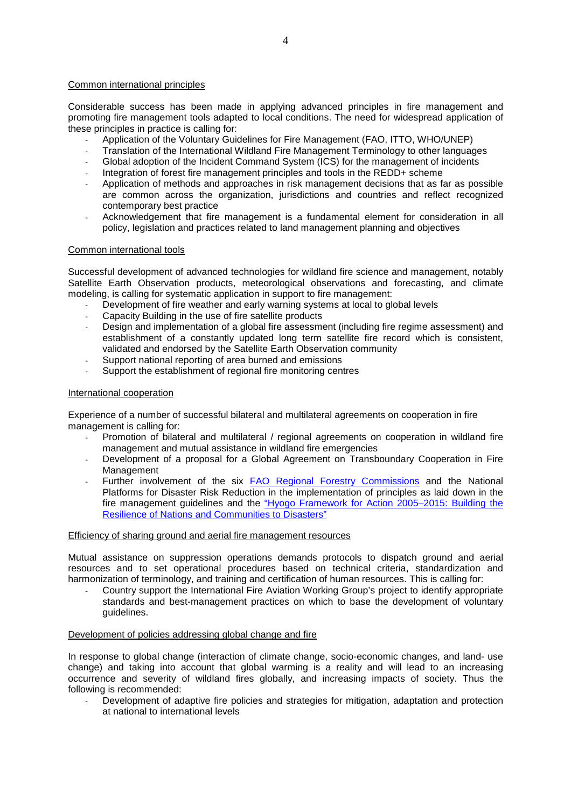## Common international principles

Considerable success has been made in applying advanced principles in fire management and promoting fire management tools adapted to local conditions. The need for widespread application of these principles in practice is calling for:

- Application of the Voluntary Guidelines for Fire Management (FAO, ITTO, WHO/UNEP)
- Translation of the International Wildland Fire Management Terminology to other languages
- Global adoption of the Incident Command System (ICS) for the management of incidents
- Integration of forest fire management principles and tools in the REDD+ scheme
- Application of methods and approaches in risk management decisions that as far as possible are common across the organization, jurisdictions and countries and reflect recognized contemporary best practice
- Acknowledgement that fire management is a fundamental element for consideration in all policy, legislation and practices related to land management planning and objectives

## Common international tools

Successful development of advanced technologies for wildland fire science and management, notably Satellite Earth Observation products, meteorological observations and forecasting, and climate modeling, is calling for systematic application in support to fire management:

- Development of fire weather and early warning systems at local to global levels
- Capacity Building in the use of fire satellite products
- Design and implementation of a global fire assessment (including fire regime assessment) and establishment of a constantly updated long term satellite fire record which is consistent, validated and endorsed by the Satellite Earth Observation community
- Support national reporting of area burned and emissions
- Support the establishment of regional fire monitoring centres

# International cooperation

Experience of a number of successful bilateral and multilateral agreements on cooperation in fire management is calling for:

- Promotion of bilateral and multilateral / regional agreements on cooperation in wildland fire management and mutual assistance in wildland fire emergencies
- Development of a proposal for a Global Agreement on Transboundary Cooperation in Fire Management
- Further involvement of the six FAO Regional Forestry Commissions and the National Platforms for Disaster Risk Reduction in the implementation of principles as laid down in the fire management guidelines and the "Hyogo Framework for Action 2005–2015: Building the Resilience of Nations and Communities to Disasters"

## Efficiency of sharing ground and aerial fire management resources

Mutual assistance on suppression operations demands protocols to dispatch ground and aerial resources and to set operational procedures based on technical criteria, standardization and harmonization of terminology, and training and certification of human resources. This is calling for:

- Country support the International Fire Aviation Working Group's project to identify appropriate standards and best-management practices on which to base the development of voluntary guidelines.

# Development of policies addressing global change and fire

In response to global change (interaction of climate change, socio-economic changes, and land- use change) and taking into account that global warming is a reality and will lead to an increasing occurrence and severity of wildland fires globally, and increasing impacts of society. Thus the following is recommended:

Development of adaptive fire policies and strategies for mitigation, adaptation and protection at national to international levels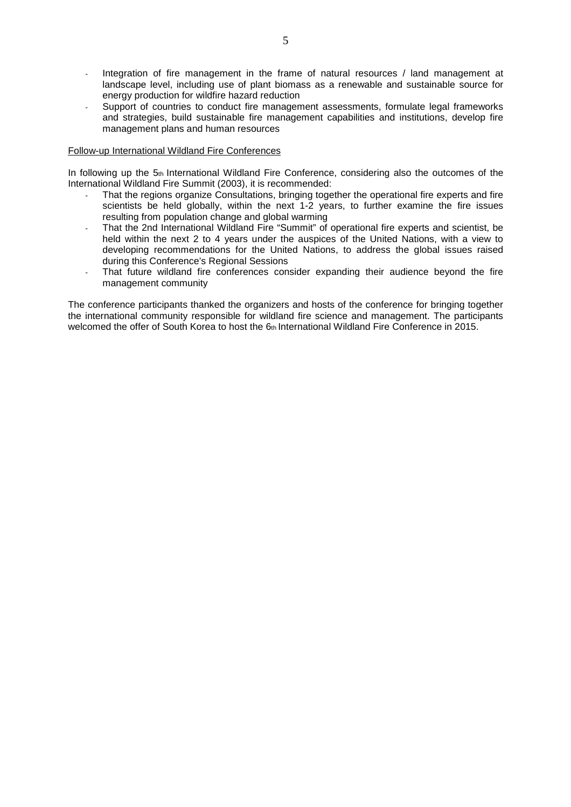- Integration of fire management in the frame of natural resources / land management at landscape level, including use of plant biomass as a renewable and sustainable source for energy production for wildfire hazard reduction
- Support of countries to conduct fire management assessments, formulate legal frameworks and strategies, build sustainable fire management capabilities and institutions, develop fire management plans and human resources

## Follow-up International Wildland Fire Conferences

In following up the 5th International Wildland Fire Conference, considering also the outcomes of the International Wildland Fire Summit (2003), it is recommended:

- That the regions organize Consultations, bringing together the operational fire experts and fire scientists be held globally, within the next 1-2 years, to further examine the fire issues resulting from population change and global warming
- That the 2nd International Wildland Fire "Summit" of operational fire experts and scientist, be held within the next 2 to 4 years under the auspices of the United Nations, with a view to developing recommendations for the United Nations, to address the global issues raised during this Conference's Regional Sessions
- That future wildland fire conferences consider expanding their audience beyond the fire management community

The conference participants thanked the organizers and hosts of the conference for bringing together the international community responsible for wildland fire science and management. The participants welcomed the offer of South Korea to host the 6th International Wildland Fire Conference in 2015.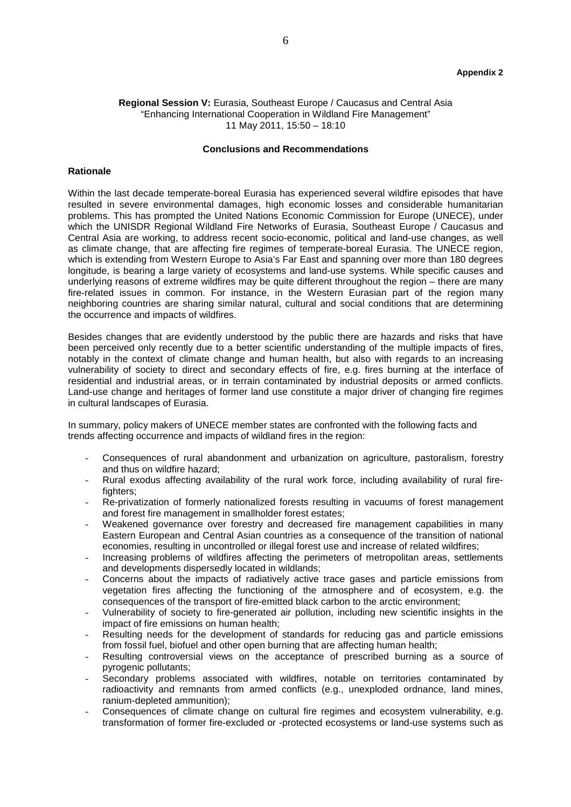### **Regional Session V:** Eurasia, Southeast Europe / Caucasus and Central Asia "Enhancing International Cooperation in Wildland Fire Management" 11 May 2011, 15:50 – 18:10

#### **Conclusions and Recommendations**

#### **Rationale**

Within the last decade temperate-boreal Eurasia has experienced several wildfire episodes that have resulted in severe environmental damages, high economic losses and considerable humanitarian problems. This has prompted the United Nations Economic Commission for Europe (UNECE), under which the UNISDR Regional Wildland Fire Networks of Eurasia, Southeast Europe / Caucasus and Central Asia are working, to address recent socio-economic, political and land-use changes, as well as climate change, that are affecting fire regimes of temperate-boreal Eurasia. The UNECE region, which is extending from Western Europe to Asia's Far East and spanning over more than 180 degrees longitude, is bearing a large variety of ecosystems and land-use systems. While specific causes and underlying reasons of extreme wildfires may be quite different throughout the region – there are many fire-related issues in common. For instance, in the Western Eurasian part of the region many neighboring countries are sharing similar natural, cultural and social conditions that are determining the occurrence and impacts of wildfires.

Besides changes that are evidently understood by the public there are hazards and risks that have been perceived only recently due to a better scientific understanding of the multiple impacts of fires, notably in the context of climate change and human health, but also with regards to an increasing vulnerability of society to direct and secondary effects of fire, e.g. fires burning at the interface of residential and industrial areas, or in terrain contaminated by industrial deposits or armed conflicts. Land-use change and heritages of former land use constitute a major driver of changing fire regimes in cultural landscapes of Eurasia.

In summary, policy makers of UNECE member states are confronted with the following facts and trends affecting occurrence and impacts of wildland fires in the region:

- Consequences of rural abandonment and urbanization on agriculture, pastoralism, forestry and thus on wildfire hazard;
- Rural exodus affecting availability of the rural work force, including availability of rural firefighters;
- Re-privatization of formerly nationalized forests resulting in vacuums of forest management and forest fire management in smallholder forest estates;
- Weakened governance over forestry and decreased fire management capabilities in many Eastern European and Central Asian countries as a consequence of the transition of national economies, resulting in uncontrolled or illegal forest use and increase of related wildfires;
- Increasing problems of wildfires affecting the perimeters of metropolitan areas, settlements and developments dispersedly located in wildlands;
- Concerns about the impacts of radiatively active trace gases and particle emissions from vegetation fires affecting the functioning of the atmosphere and of ecosystem, e.g. the consequences of the transport of fire-emitted black carbon to the arctic environment;
- Vulnerability of society to fire-generated air pollution, including new scientific insights in the impact of fire emissions on human health;
- Resulting needs for the development of standards for reducing gas and particle emissions from fossil fuel, biofuel and other open burning that are affecting human health;
- Resulting controversial views on the acceptance of prescribed burning as a source of pyrogenic pollutants;
- Secondary problems associated with wildfires, notable on territories contaminated by radioactivity and remnants from armed conflicts (e.g., unexploded ordnance, land mines, ranium-depleted ammunition);
- Consequences of climate change on cultural fire regimes and ecosystem vulnerability, e.g. transformation of former fire-excluded or -protected ecosystems or land-use systems such as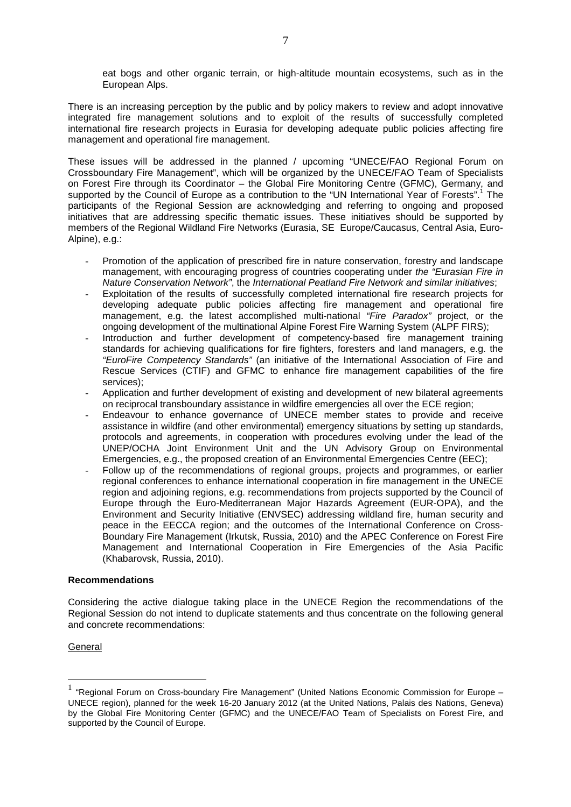eat bogs and other organic terrain, or high-altitude mountain ecosystems, such as in the European Alps.

There is an increasing perception by the public and by policy makers to review and adopt innovative integrated fire management solutions and to exploit of the results of successfully completed international fire research projects in Eurasia for developing adequate public policies affecting fire management and operational fire management.

These issues will be addressed in the planned / upcoming "UNECE/FAO Regional Forum on Crossboundary Fire Management", which will be organized by the UNECE/FAO Team of Specialists on Forest Fire through its Coordinator – the Global Fire Monitoring Centre (GFMC), Germany, and supported by the Council of Europe as a contribution to the "UN International Year of Forests".<sup>1</sup> The participants of the Regional Session are acknowledging and referring to ongoing and proposed initiatives that are addressing specific thematic issues. These initiatives should be supported by members of the Regional Wildland Fire Networks (Eurasia, SE Europe/Caucasus, Central Asia, Euro-Alpine), e.g.:

- Promotion of the application of prescribed fire in nature conservation, forestry and landscape management, with encouraging progress of countries cooperating under the "Eurasian Fire in Nature Conservation Network", the International Peatland Fire Network and similar initiatives;
- Exploitation of the results of successfully completed international fire research projects for developing adequate public policies affecting fire management and operational fire management, e.g. the latest accomplished multi-national "Fire Paradox" project, or the ongoing development of the multinational Alpine Forest Fire Warning System (ALPF FIRS);
- Introduction and further development of competency-based fire management training standards for achieving qualifications for fire fighters, foresters and land managers, e.g. the "EuroFire Competency Standards" (an initiative of the International Association of Fire and Rescue Services (CTIF) and GFMC to enhance fire management capabilities of the fire services);
- Application and further development of existing and development of new bilateral agreements on reciprocal transboundary assistance in wildfire emergencies all over the ECE region;
- Endeavour to enhance governance of UNECE member states to provide and receive assistance in wildfire (and other environmental) emergency situations by setting up standards, protocols and agreements, in cooperation with procedures evolving under the lead of the UNEP/OCHA Joint Environment Unit and the UN Advisory Group on Environmental Emergencies, e.g., the proposed creation of an Environmental Emergencies Centre (EEC);
- Follow up of the recommendations of regional groups, projects and programmes, or earlier regional conferences to enhance international cooperation in fire management in the UNECE region and adjoining regions, e.g. recommendations from projects supported by the Council of Europe through the Euro-Mediterranean Major Hazards Agreement (EUR-OPA), and the Environment and Security Initiative (ENVSEC) addressing wildland fire, human security and peace in the EECCA region; and the outcomes of the International Conference on Cross-Boundary Fire Management (Irkutsk, Russia, 2010) and the APEC Conference on Forest Fire Management and International Cooperation in Fire Emergencies of the Asia Pacific (Khabarovsk, Russia, 2010).

## **Recommendations**

Considering the active dialogue taking place in the UNECE Region the recommendations of the Regional Session do not intend to duplicate statements and thus concentrate on the following general and concrete recommendations:

# **General**

 $\overline{a}$ 

 $1$  "Regional Forum on Cross-boundary Fire Management" (United Nations Economic Commission for Europe – UNECE region), planned for the week 16-20 January 2012 (at the United Nations, Palais des Nations, Geneva) by the Global Fire Monitoring Center (GFMC) and the UNECE/FAO Team of Specialists on Forest Fire, and supported by the Council of Europe.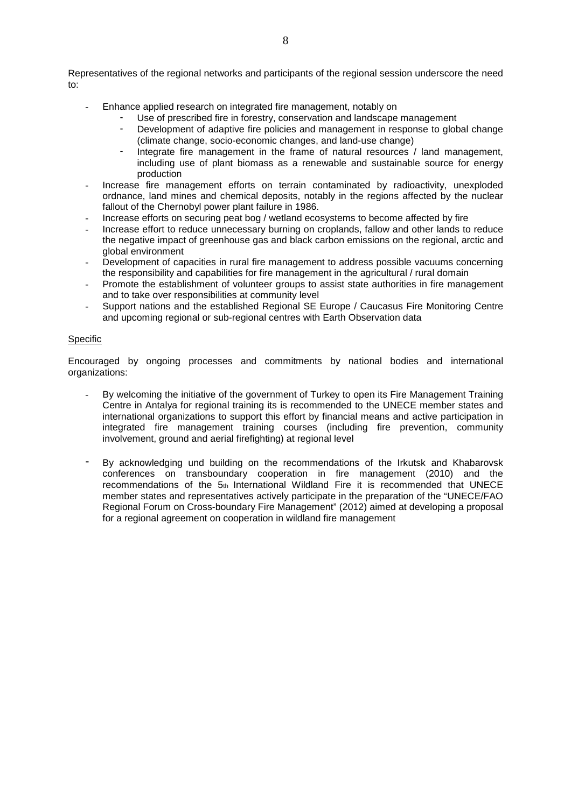Representatives of the regional networks and participants of the regional session underscore the need  $t^{\circ}$ 

- Enhance applied research on integrated fire management, notably on
	- Use of prescribed fire in forestry, conservation and landscape management
	- Development of adaptive fire policies and management in response to global change (climate change, socio-economic changes, and land-use change)
	- Integrate fire management in the frame of natural resources / land management, including use of plant biomass as a renewable and sustainable source for energy production
- Increase fire management efforts on terrain contaminated by radioactivity, unexploded ordnance, land mines and chemical deposits, notably in the regions affected by the nuclear fallout of the Chernobyl power plant failure in 1986.
- Increase efforts on securing peat bog / wetland ecosystems to become affected by fire
- Increase effort to reduce unnecessary burning on croplands, fallow and other lands to reduce the negative impact of greenhouse gas and black carbon emissions on the regional, arctic and global environment
- Development of capacities in rural fire management to address possible vacuums concerning the responsibility and capabilities for fire management in the agricultural / rural domain
- Promote the establishment of volunteer groups to assist state authorities in fire management and to take over responsibilities at community level
- Support nations and the established Regional SE Europe / Caucasus Fire Monitoring Centre and upcoming regional or sub-regional centres with Earth Observation data

## Specific

Encouraged by ongoing processes and commitments by national bodies and international organizations:

- By welcoming the initiative of the government of Turkey to open its Fire Management Training Centre in Antalya for regional training its is recommended to the UNECE member states and international organizations to support this effort by financial means and active participation in integrated fire management training courses (including fire prevention, community involvement, ground and aerial firefighting) at regional level
- By acknowledging und building on the recommendations of the Irkutsk and Khabarovsk conferences on transboundary cooperation in fire management (2010) and the recommendations of the 5th International Wildland Fire it is recommended that UNECE member states and representatives actively participate in the preparation of the "UNECE/FAO Regional Forum on Cross-boundary Fire Management" (2012) aimed at developing a proposal for a regional agreement on cooperation in wildland fire management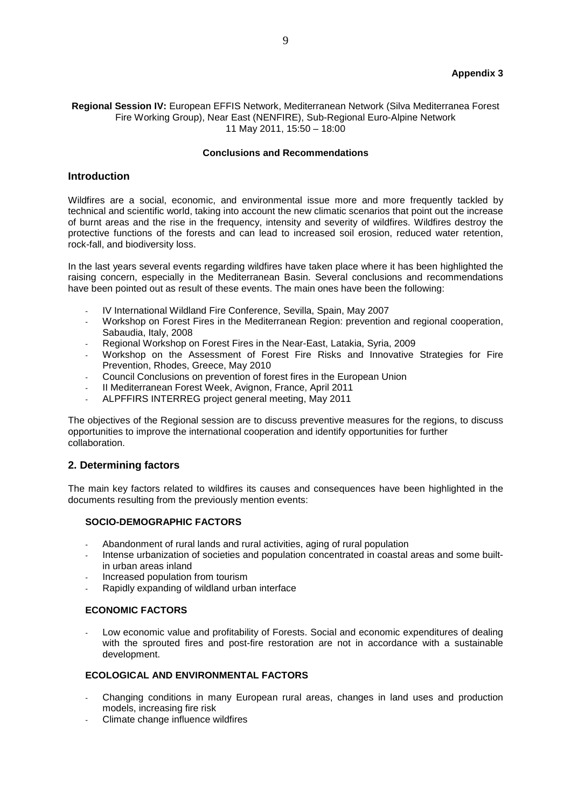# **Appendix 3**

## **Regional Session IV:** European EFFIS Network, Mediterranean Network (Silva Mediterranea Forest Fire Working Group), Near East (NENFIRE), Sub-Regional Euro-Alpine Network 11 May 2011, 15:50 – 18:00

#### **Conclusions and Recommendations**

## **Introduction**

Wildfires are a social, economic, and environmental issue more and more frequently tackled by technical and scientific world, taking into account the new climatic scenarios that point out the increase of burnt areas and the rise in the frequency, intensity and severity of wildfires. Wildfires destroy the protective functions of the forests and can lead to increased soil erosion, reduced water retention, rock-fall, and biodiversity loss.

In the last years several events regarding wildfires have taken place where it has been highlighted the raising concern, especially in the Mediterranean Basin. Several conclusions and recommendations have been pointed out as result of these events. The main ones have been the following:

- IV International Wildland Fire Conference, Sevilla, Spain, May 2007
- Workshop on Forest Fires in the Mediterranean Region: prevention and regional cooperation, Sabaudia, Italy, 2008
- Regional Workshop on Forest Fires in the Near-East, Latakia, Syria, 2009
- Workshop on the Assessment of Forest Fire Risks and Innovative Strategies for Fire Prevention, Rhodes, Greece, May 2010
- Council Conclusions on prevention of forest fires in the European Union
- II Mediterranean Forest Week, Avignon, France, April 2011
- ALPFFIRS INTERREG project general meeting, May 2011

The objectives of the Regional session are to discuss preventive measures for the regions, to discuss opportunities to improve the international cooperation and identify opportunities for further collaboration.

# **2. Determining factors**

The main key factors related to wildfires its causes and consequences have been highlighted in the documents resulting from the previously mention events:

## **SOCIO-DEMOGRAPHIC FACTORS**

- Abandonment of rural lands and rural activities, aging of rural population
- Intense urbanization of societies and population concentrated in coastal areas and some builtin urban areas inland
- Increased population from tourism
- Rapidly expanding of wildland urban interface

#### **ECONOMIC FACTORS**

Low economic value and profitability of Forests. Social and economic expenditures of dealing with the sprouted fires and post-fire restoration are not in accordance with a sustainable development.

## **ECOLOGICAL AND ENVIRONMENTAL FACTORS**

- Changing conditions in many European rural areas, changes in land uses and production models, increasing fire risk
- Climate change influence wildfires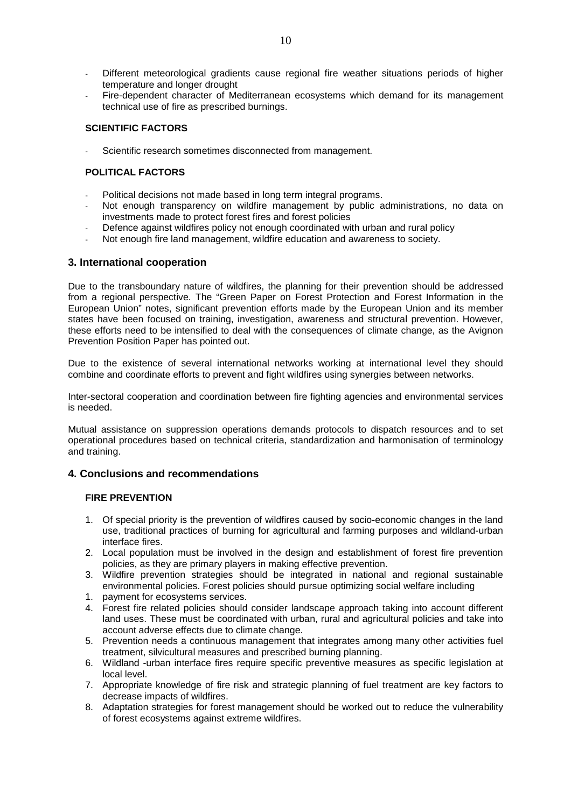- Different meteorological gradients cause regional fire weather situations periods of higher temperature and longer drought
- Fire-dependent character of Mediterranean ecosystems which demand for its management technical use of fire as prescribed burnings.

## **SCIENTIFIC FACTORS**

Scientific research sometimes disconnected from management.

## **POLITICAL FACTORS**

- Political decisions not made based in long term integral programs.
- Not enough transparency on wildfire management by public administrations, no data on investments made to protect forest fires and forest policies
- Defence against wildfires policy not enough coordinated with urban and rural policy
- Not enough fire land management, wildfire education and awareness to society.

## **3. International cooperation**

Due to the transboundary nature of wildfires, the planning for their prevention should be addressed from a regional perspective. The "Green Paper on Forest Protection and Forest Information in the European Union" notes, significant prevention efforts made by the European Union and its member states have been focused on training, investigation, awareness and structural prevention. However, these efforts need to be intensified to deal with the consequences of climate change, as the Avignon Prevention Position Paper has pointed out.

Due to the existence of several international networks working at international level they should combine and coordinate efforts to prevent and fight wildfires using synergies between networks.

Inter-sectoral cooperation and coordination between fire fighting agencies and environmental services is needed.

Mutual assistance on suppression operations demands protocols to dispatch resources and to set operational procedures based on technical criteria, standardization and harmonisation of terminology and training.

# **4. Conclusions and recommendations**

# **FIRE PREVENTION**

- 1. Of special priority is the prevention of wildfires caused by socio-economic changes in the land use, traditional practices of burning for agricultural and farming purposes and wildland-urban interface fires.
- 2. Local population must be involved in the design and establishment of forest fire prevention policies, as they are primary players in making effective prevention.
- 3. Wildfire prevention strategies should be integrated in national and regional sustainable environmental policies. Forest policies should pursue optimizing social welfare including
- 1. payment for ecosystems services.
- 4. Forest fire related policies should consider landscape approach taking into account different land uses. These must be coordinated with urban, rural and agricultural policies and take into account adverse effects due to climate change.
- 5. Prevention needs a continuous management that integrates among many other activities fuel treatment, silvicultural measures and prescribed burning planning.
- 6. Wildland -urban interface fires require specific preventive measures as specific legislation at local level.
- 7. Appropriate knowledge of fire risk and strategic planning of fuel treatment are key factors to decrease impacts of wildfires.
- 8. Adaptation strategies for forest management should be worked out to reduce the vulnerability of forest ecosystems against extreme wildfires.